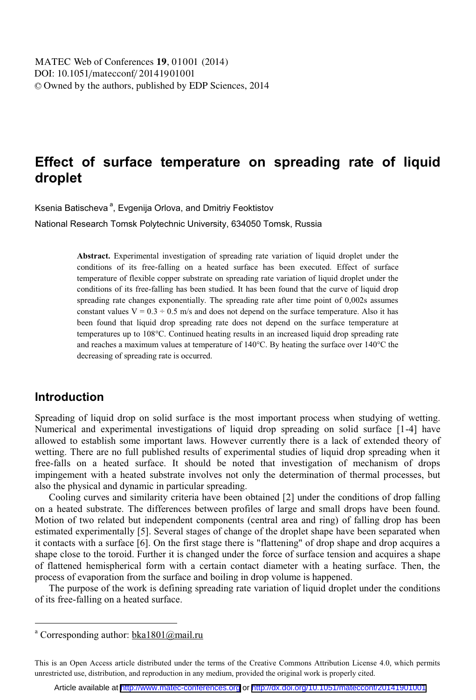# **Effect of surface temperature on spreading rate of liquid droplet**

Ksenia Batischeva<sup>a</sup>, Evgenija Orlova, and Dmitriy Feoktistov National Research Tomsk Polytechnic University, 634050 Tomsk, Russia

> **Abstract.** Experimental investigation of spreading rate variation of liquid droplet under the conditions of its free-falling on a heated surface has been executed. Effect of surface temperature of flexible copper substrate on spreading rate variation of liquid droplet under the conditions of its free-falling has been studied. It has been found that the curve of liquid drop spreading rate changes exponentially. The spreading rate after time point of 0,002s assumes constant values  $V = 0.3 \div 0.5$  m/s and does not depend on the surface temperature. Also it has been found that liquid drop spreading rate does not depend on the surface temperature at temperatures up to 108°С. Continued heating results in an increased liquid drop spreading rate and reaches a maximum values at temperature of 140°C. By heating the surface over 140°C the decreasing of spreading rate is occurred.

### **Introduction**

 $\overline{a}$ 

Spreading of liquid drop on solid surface is the most important process when studying of wetting. Numerical and experimental investigations of liquid drop spreading on solid surface [1-4] have allowed to establish some important laws. However currently there is a lack of extended theory of wetting. There are no full published results of experimental studies of liquid drop spreading when it free-falls on a heated surface. It should be noted that investigation of mechanism of drops impingement with a heated substrate involves not only the determination of thermal processes, but also the physical and dynamic in particular spreading.

Cooling curves and similarity criteria have been obtained [2] under the conditions of drop falling on a heated substrate. The differences between profiles of large and small drops have been found. Motion of two related but independent components (central area and ring) of falling drop has been estimated experimentally [5]. Several stages of change of the droplet shape have been separated when it contacts with a surface [6]. On the first stage there is "flattening" of drop shape and drop acquires a shape close to the toroid. Further it is changed under the force of surface tension and acquires a shape of flattened hemispherical form with a certain contact diameter with a heating surface. Then, the process of evaporation from the surface and boiling in drop volume is happened.

The purpose of the work is defining spreading rate variation of liquid droplet under the conditions of its free-falling on a heated surface.

<sup>&</sup>lt;sup>a</sup> Corresponding author: **bka1801@mail.ru** 

This is an Open Access article distributed under the terms of the Creative Commons Attribution License 4.0, which permits unrestricted use, distribution, and reproduction in any medium, provided the original work is properly cited.

Article available at <http://www.matec-conferences.org> or <http://dx.doi.org/10.1051/matecconf/20141901001>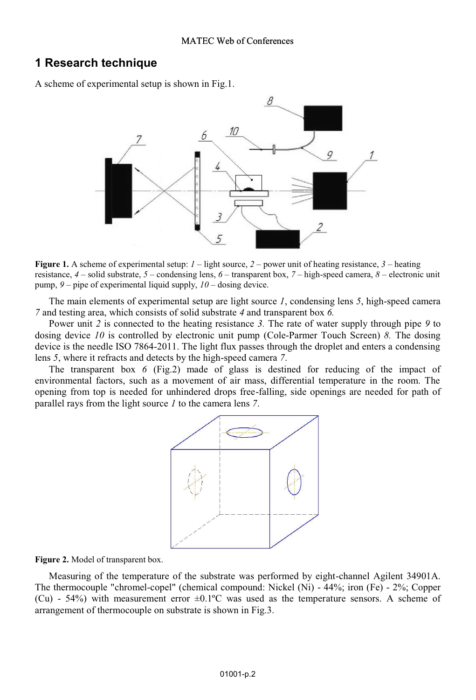### **1 Research technique**

A scheme of experimental setup is shown in Fig.1.



**Figure 1.** A scheme of experimental setup: *<sup>1</sup>* – light source, *<sup>2</sup> –* power unit of heating resistance, *<sup>3</sup>* – heating resistance, *4* – solid substrate, *5* – condensing lens, *6* – transparent box, *7* – high-speed camera, *8* – electronic unit pump, *9* – pipe of experimental liquid supply, *10* – dosing device.

The main elements of experimental setup are light source *1*, condensing lens *5*, high-speed camera *7* and testing area, which consists of solid substrate *4* and transparent box *6.*

Power unit *2* is connected to the heating resistance *3.* The rate of water supply through pipe *9* to dosing device *10* is controlled by electronic unit pump (Cole-Parmer Touch Screen) *8.* The dosing device is the needle ISO 7864-2011. The light flux passes through the droplet and enters a condensing lens *5*, where it refracts and detects by the high-speed camera *7*.

The transparent box *6* (Fig.2) made of glass is destined for reducing of the impact of environmental factors, such as a movement of air mass, differential temperature in the room. The opening from top is needed for unhindered drops free-falling, side openings are needed for path of parallel rays from the light source *1* to the camera lens *7*.



#### **Figure 2.** Model of transparent box.

Measuring of the temperature of the substrate was performed by eight-channel Agilent 34901A. The thermocouple "chromel-copel" (chemical compound: Nickel (Ni) - 44%; iron (Fe) - 2%; Copper (Cu) -  $54\%$ ) with measurement error  $\pm 0.1\degree$ C was used as the temperature sensors. A scheme of arrangement of thermocouple on substrate is shown in Fig.3.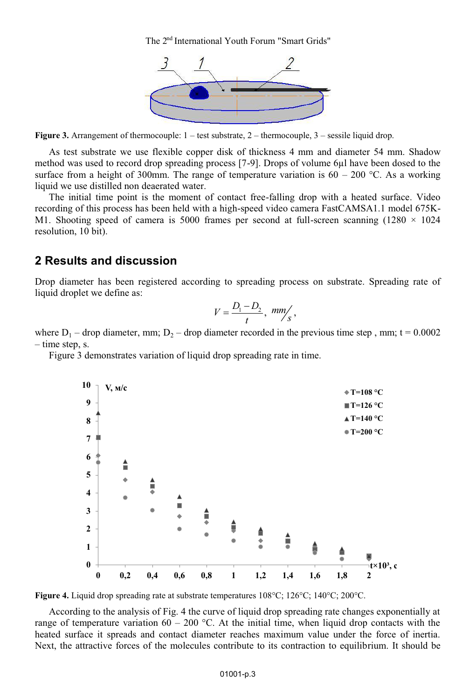The 2<sup>nd</sup> International Youth Forum "Smart Grids"



**Figure 3.** Arrangement of thermocouple:  $1 - \text{test substance}$ ,  $2 - \text{thermocouple}$ ,  $3 - \text{sessile liquid drop}$ .

As test substrate we use flexible copper disk of thickness 4 mm and diameter 54 mm. Shadow method was used to record drop spreading process [7-9]. Drops of volume 6μl have been dosed to the surface from a height of 300mm. The range of temperature variation is  $60 - 200$  °C. As a working liquid we use distilled non deaerated water.

The initial time point is the moment of contact free-falling drop with a heated surface. Video recording of this process has been held with a high-speed video camera FastCAMSA1.1 model 675K-M1. Shooting speed of camera is 5000 frames per second at full-screen scanning  $(1280 \times 1024)$ resolution, 10 bit).

### **2 Results and discussion**

Drop diameter has been registered according to spreading process on substrate. Spreading rate of liquid droplet we define as:

$$
V=\frac{D_1-D_2}{t}, \ \ mm \bigg/_{S},
$$

where  $D_1$  – drop diameter, mm;  $D_2$  – drop diameter recorded in the previous time step, mm; t = 0.0002 – time step, s.

Figure 3 demonstrates variation of liquid drop spreading rate in time.



**Figure 4.** Liquid drop spreading rate at substrate temperatures 108°C; 126°C; 140°C; 200°C.

According to the analysis of Fig. 4 the curve of liquid drop spreading rate changes exponentially at range of temperature variation 60 – 200 °C. At the initial time, when liquid drop contacts with the heated surface it spreads and contact diameter reaches maximum value under the force of inertia. Next, the attractive forces of the molecules contribute to its contraction to equilibrium. It should be